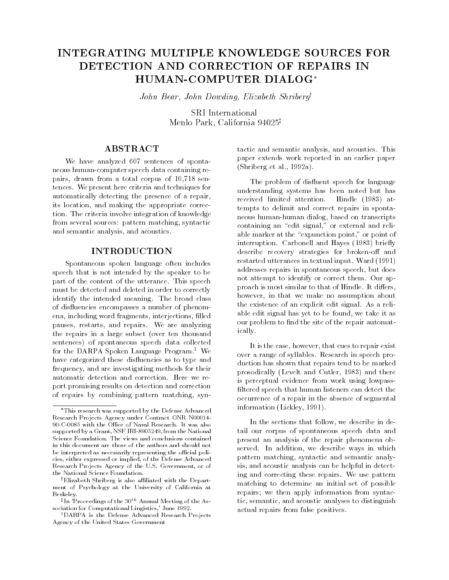# INTEGRATING MULTIPLE KNOWLEDGE SOURCES FOR DETECTION AND CORRECTION OF REPAIRS IN HUMAN-COMPUTER DIALOG

John Bear, John Dowding, Elizabeth Shriberg<sup>y</sup>

SRI International Menlo Park, California  $94025^{\ddagger}$ 

# **ABSTRACT**

We have analyzed 607 sentences of spontaneous human-computer speech data containing repairs, drawn from a total corpus of 10,718 sentences. We present here criteria and techniques for automatically detecting the presence of a repair, its location, and making the appropriate correction. The criteria involve integration of knowledge from several sources: pattern matching, syntactic and semantic analysis, and acoustics.

# INTRODUCTION

Spontaneous spoken language often includes speech that is not intended by the speaker to be part of the content of the utterance. This speech must be detected and deleted in order to correctly identify the intended meaning. The broad class of dis
uencies encompasses a number of phenomena, including word fragments, interjections, filled pauses, restarts, and repairs. We are analyzing the repairs in a large subset (over ten thousand sentences) of spontaneous speech data collected for the DARPA Spoken Language Program.<sup>1</sup> We have categorized these disfluencies as to type and frequency, and are investigating methods for their automatic detection and correction. Here we report promising results on detection and correction of repairs by combining pattern matching, syntactic and semantic analysis, and acoustics. This paper extends work reported in an earlier paper (Shriberg et al., 1992a).

The problem of disfluent speech for language understanding systems has been noted but has received limited attention. Hindle (1983) attempts to delimit and correct repairs in spontaneous human-human dialog, based on transcripts containing an "edit signal," or external and reliable marker at the "expunction point," or point of interruption. Carbonell and Hayes (1983) briefly describe recovery strategies for broken-off and restarted utterances in textual input. Ward (1991) addresses repairs in spontaneous speech, but does not attempt to identify or correct them. Our approach is most similar to that of Hindle. It differs, however, in that we make no assumption about the existence of an explicit edit signal. As a reliable edit signal has yet to be found, we take it as our problem to find the site of the repair automatically.

It is the case, however, that cues to repair exist over a range of syllables. Research in speech production has shown that repairs tend to be marked prosodically (Levelt and Cutler, 1983) and there is perceptual evidence from work using lowpass filtered speech that human listeners can detect the occurrence of a repair in the absence of segmental information (Lickley, 1991).

In the sections that follow, we describe in detail our corpus of spontaneous speech data and present an analysis of the repair phenomena observed. In addition, we describe ways in which pattern matching, syntactic and semantic analysis, and acoustic analysis can be helpful in detecting and correcting these repairs. We use pattern matching to determine an initial set of possible repairs; we then apply information from syntactic, semantic, and acoustic analyses to distinguish actual repairs from false positives.

This research was supported by the Defense Advanced Research Projects Agency under Contract ONR N00014-90-C-0085 with the Office of Naval Research. It was also supported by a Grant, NSF IRI-8905249, from the National Science Foundation. The views and conclusions contained in this document are those of the authors and should not be interpreted as necessarily representing the official policies, either expressed or implied, of the Defense Advanced Research Projects Agency of the U.S. Government, or of the National Science Foundation.

<sup>y</sup> Elizabeth Shriberg is also aliated with the Depart ment of Psychology at the University of California at Berkelev. Berkeley.

 $\pm$ In 'Proceedings of the 30<sup>th</sup> Annual Meeting of the Association for Computational Lingistics,' June 1992.

<sup>&</sup>lt;sup>1</sup>DARPA is the Defense Advanced Research Projects Agency of the United States Government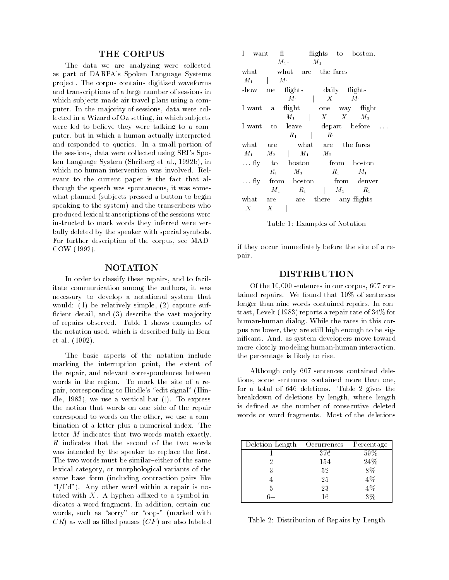### **THE CORPUS**

The data we are analyzing were collected as part of DARPA's Spoken Language Systems project. The corpus contains digitized waveforms and transcriptions of a large number of sessions in which subjects made air travel plans using a computer. In the majority of sessions, data were collected in a Wizard of Oz setting, in which subjects were led to believe they were talking to a computer, but in which a human actually interpreted and responded to queries. In a small portion of the sessions, data were collected using SRI's Spoken Language System (Shriberg et al., 1992b), in which no human intervention was involved. Relevant to the current paper is the fact that although the speech was spontaneous, it was some what planned (subjects pressed a button to begin speaking to the system) and the transcribers who produced lexical transcriptions of the sessions were instructed to mark words they inferred were verbally deleted by the speaker with special symbols. For further description of the corpus, see MAD-COW (1992).

# NOTATION

In order to classify these repairs, and to facilitate communication among the authors, it was necessary to develop a notational system that would: (1) be relatively simple, (2) capture suf ficient detail, and (3) describe the vast majority of repairs observed. Table 1 shows examples of the notation used, which is described fully in Bear et al. (1992).

The basic aspects of the notation include marking the interruption point, the extent of the repair, and relevant correspondences between words in the region. To mark the site of a repair, corresponding to Hindle's "edit signal" (Hindle, 1983), we use a vertical bar  $(|)$ . To express the notion that words on one side of the repair correspond to words on the other, we use a combination of a letter plus a numerical index. The letter <sup>M</sup> indicates that two words match exactly. <sup>R</sup> indicates that the second of the two words was intended by the speaker to replace the first. The two words must be similar-either of the same lexical category, or morphological variants of the same base form (including contraction pairs like " $I/I'd"$ ). Any other word within a repair is notated with  $X$ . A hyphen affixed to a symbol indicates a word fragment. In addition, certain cue words, such as "sorry" or "oops" (marked with  $CR$ ) as well as filled pauses  $(CF)$  are also labeled

| T<br>want   | $f1$ -<br>flights to boston.      |
|-------------|-----------------------------------|
|             | $M_1$<br>$M_1$ -                  |
| what        | what are the fares                |
| $M_1$       | $M_1$                             |
| show<br>me  | flights<br>daily flights          |
|             | $M_1$ $X$<br>$M_1$                |
| I want a    | $\text{flight}$<br>one way flight |
|             | $M_1$   $X$ X<br>$M_1$            |
| I want to   | depart before<br>leave            |
|             | $R_1$<br>$R_1$                    |
| what        | what are the-fares<br>are         |
| $M_1$ .     | $M_2$   $M_1$ $M_2$               |
|             | fly to boston from boston         |
|             | $M_1$ $R_1$<br>$R_{1}$<br>$M_1$   |
| $\dots$ fly | from boston from denver           |
|             | $R_1$   $M_1$<br>$M_1$<br>$R_1$   |
| what        | are there any flights<br>are      |
| Χ           | X                                 |

Table 1: Examples of Notation

if they occur immediately before the site of a repair. pair. The contract of the contract of the contract of the contract of the contract of the contract of the contract of the contract of the contract of the contract of the contract of the contract of the contract of the cont

#### DISTRIBUTION

Of the 10,000 sentences in our corpus, 607 contained repairs. We found that 10% of sentences longer than nine words contained repairs. In contrast, Levelt (1983) reports a repair rate of 34% for human-human dialog. While the rates in this corpus are lower, they are still high enough to be signicant. And, as system developers move toward more closely modeling human-human interaction, the percentage is likely to rise.

Although only 607 sentences contained deletions, some sentences contained more than one, for a total of 646 deletions. Table 2 gives the breakdown of deletions by length, where length is defined as the number of consecutive deleted words or word fragments. Most of the deletions

| Deletion Length Occurrences |     | Percentage |
|-----------------------------|-----|------------|
|                             | 376 | 59%        |
|                             | 154 | 24\%       |
|                             | 52  | 8%         |
|                             | 25  | 4%         |
| 5                           | 23  | 4%         |
|                             | 16  |            |

Table 2: Distribution of Repairs by Length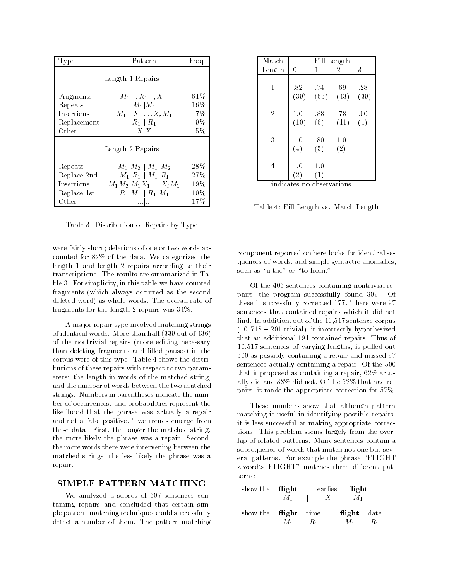| Type        | Pattern                       | Freq. |
|-------------|-------------------------------|-------|
|             | Length 1 Repairs              |       |
|             |                               |       |
| Fragments   | $M_1-, R_1-, X-$              | 61%   |
| Repeats     | $M_1 M_1$                     | 16\%  |
| Insertions  | $M_1 \mid X_1 \ldots X_i M_1$ | 7%    |
| Replacement | $R_1 \mid R_1$                | 9%    |
| Other       | X X                           | 5%    |
|             |                               |       |
|             | Length 2 Repairs              |       |
|             |                               | 28%   |
| Repeats     | $M_1 M_2 \mid M_1 M_2$        |       |
| Replace 2nd | $M_1 R_1 \mid M_1 R_1$        | 27\%  |
| Insertions  | $M_1M_2 M_1X_1X_iM_2$         | 19%   |
| Replace 1st | $R_1 M_1 \,   \, R_1 M_1$     | 10%   |
| Other       |                               | 17%   |

Table 3: Distribution of Repairs by Type

were fairly short; deletions of one or two words accounted for 82% of the data. We categorized the length 1 and length 2 repairs according to their transcriptions. The results are summarized in Table 3. For simplicity, in this table we have counted fragments (which always occurred as the second deleted word) as whole words. The overall rate of fragments for the length 2 repairs was 34%.

A major repair type involved matching strings of identical words. More than half (339 out of 436) of the nontrivial repairs (more editing necessary than deleting fragments and filled pauses) in the corpus were of this type. Table 4 shows the distributions of these repairs with respect to two parameters: the length in words of the matched string, and the number of words between the two matched strings. Numbers in parentheses indicate the number of occurrences, and probabilities represent the likelihood that the phrase was actually a repair and not a false positive. Two trends emerge from these data. First, the longer the matched string, the more likely the phrase was a repair. Second, the more words there were intervening between the matched strings, the less likely the phrase was a repair.

### SIMPLE PATTERN MATCHING

We analyzed a subset of 607 sentences containing repairs and concluded that certain simple pattern-matching techniques could successfully detect a number of them. The pattern-matching

| Match          |          | Fill Length          |                |      |  |  |
|----------------|----------|----------------------|----------------|------|--|--|
| Length         | $\bf{0}$ | 1                    | $\overline{2}$ | 3    |  |  |
|                |          |                      |                |      |  |  |
| 1              | .82      | $-74$                | .69            | .28  |  |  |
|                |          | $(39)$ $(65)$ $(43)$ |                | (39) |  |  |
| $\overline{2}$ | 1.0      | .83                  | -73            | .00  |  |  |
|                | (10)     | (6)                  | (11)           | (1)  |  |  |
| 3              | 1.0      | .80                  | 1.0            |      |  |  |
|                | (4)      | (5)                  | (2)            |      |  |  |
| 4              | 1.0      | 1.0                  |                |      |  |  |
|                | (2)      | (1)                  |                |      |  |  |

Table 4: Fill Length vs. Match Length

component reported on here looks for identical sequences of words, and simple syntactic anomalies, such as "a the" or "to from."

Of the 406 sentences containing nontrivial repairs, the program successfully found 309. Of these it successfully corrected 177. There were 97 sentences that contained repairs which it did not find. In addition, out of the 10,517 sentence corpus  $(10, 718 - 201$  trivial), it incorrectly hypothesized that an additional 191 contained repairs. Thus of 10,517 sentences of varying lengths, it pulled out 500 as possibly containing a repair and missed 97 sentences actually containing a repair. Of the 500 that it proposed as containing a repair, 62% actually did and 38% did not. Of the 62% that had repairs, it made the appropriate correction for 57%.

These numbers show that although pattern matching is useful in identifying possible repairs, it is less successful at making appropriate corrections. This problem stems largely from the overlap of related patterns. Many sentences contain a subsequence of words that match not one but several patterns. For example the phrase \FLIGHT  $\langle$ word $\rangle$  FLIGHT" matches three different patterns:

| show the <b>flight</b>      |  | earliest <b>flight</b>          |             |  |
|-----------------------------|--|---------------------------------|-------------|--|
|                             |  | $M_1$   $X$ $M_1$               |             |  |
| show the <b>flight</b> time |  |                                 | flight date |  |
|                             |  | $M_1 \, R_1 \, 1 \, M_1 \, R_1$ |             |  |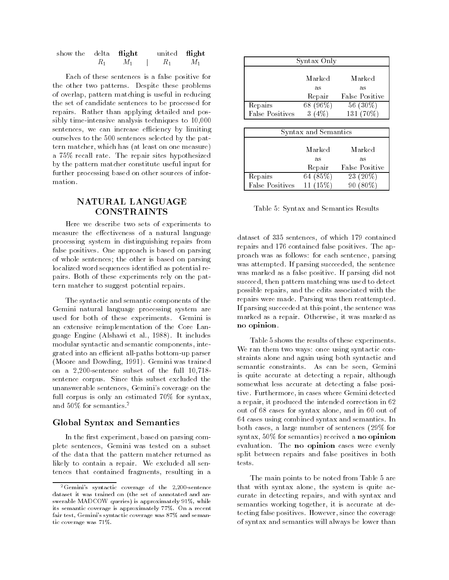| show the delta <b>flight</b> |         |    | united flight  |    |
|------------------------------|---------|----|----------------|----|
|                              | $R_{1}$ | М1 | $\mathbb{R}_1$ | М1 |

Each of these sentences is a false positive for the other two patterns. Despite these problems of overlap, pattern matching is useful in reducing the set of candidate sentences to be processed for repairs. Rather than applying detailed and possibly time-intensive analysis techniques to 10,000 sentences, we can increase efficiency by limiting ourselves to the 500 sentences selected by the pattern matcher, which has (at least on one measure) a 75% recall rate. The repair sites hypothesized by the pattern matcher constitute useful input for further processing based on other sources of information.

# NATURAL LANGUAGE **CONSTRAINTS**

Here we describe two sets of experiments to measure the effectiveness of a natural language processing system in distinguishing repairs from false positives. One approach is based on parsing of whole sentences; the other is based on parsing localized word sequences identified as potential repairs. Both of these experiments rely on the pattern matcher to suggest potential repairs.

The syntactic and semantic components of the Gemini natural language processing system are used for both of these experiments. Gemini is an extensive reimplementation of the Core Language Engine (Alshawi et al., 1988). It includes modular syntactic and semantic components, integrated into an efficient all-paths bottom-up parser (Moore and Dowding, 1991). Gemini was trained on a 2,200-sentence subset of the full 10,718 sentence corpus. Since this subset excluded the unanswerable sentences, Gemini's coverage on the full corpus is only an estimated 70% for syntax, and 50% for semantics.2

# Global Syntax and Semantics

In the first experiment, based on parsing complete sentences, Gemini was tested on a subset of the data that the pattern matcher returned as likely to contain a repair. We excluded all sentences that contained fragments, resulting in a

| Marked   | Marked         |
|----------|----------------|
| as       | as             |
| Repair   | False Positive |
| 68 (96%) | 56 (30%)       |
|          | 131 (70%)      |
|          | Syntax Only    |

| Syntax and Semantics   |              |                |  |  |
|------------------------|--------------|----------------|--|--|
|                        | Marked       | Marked         |  |  |
|                        | as           | as             |  |  |
|                        | Repair       | False Positive |  |  |
| Repairs                | 64 (85%)     | 23 (20%)       |  |  |
| <b>False Positives</b> | $15\%$<br>11 |                |  |  |

Table 5: Syntax and Semantics Results

dataset of 335 sentences, of which 179 contained repairs and 176 contained false positives. The approach was as follows: for each sentence, parsing was attempted. If parsing succeeded, the sentence was marked as a false positive. If parsing did not succeed, then pattern matching was used to detect possible repairs, and the edits associated with the repairs were made. Parsing was then reattempted. If parsing succeeded at this point, the sentence was marked as a repair. Otherwise, it was marked as no opinion.

Table 5 shows the results of these experiments. We ran them two ways: once using syntactic constraints alone and again using both syntactic and semantic constraints. As can be seen, Gemini is quite accurate at detecting a repair, although somewhat less accurate at detecting a false positive. Furthermore, in cases where Gemini detected a repair, it produced the intended correction in 62 out of 68 cases for syntax alone, and in 60 out of 64 cases using combined syntax and semantics. In both cases, a large number of sentences (29% for syntax, 50% for semantics) received a no opinion evaluation. The no opinion cases were evenly split between repairs and false positives in both tests.

The main points to be noted from Table 5 are that with syntax alone, the system is quite accurate in detecting repairs, and with syntax and semantics working together, it is accurate at detecting false positives. However, since the coverage of syntax and semantics will always be lower than

<sup>2</sup>Gemini's syntactic coverage of the 2,200-sentence dataset it was trained on (the set of annotated and answerable MADCOW queries) is approximately 91%, while its semantic coverage is approximately 77%. On a recent fair test, Gemini's syntactic coverage was 87% and semantic coverage was 71%.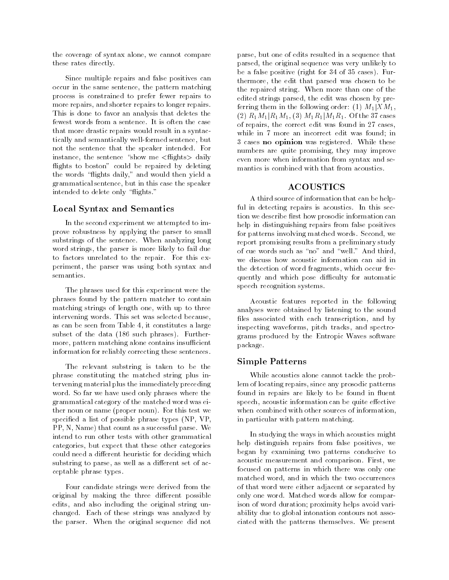the coverage of syntax alone, we cannot compare these rates directly.

Since multiple repairs and false positives can occur in the same sentence, the pattern matching process is constrained to prefer fewer repairs to more repairs, and shorter repairs to longer repairs. This is done to favor an analysis that deletes the fewest words from a sentence. It is often the case that more drastic repairs would result in a syntactically and semantically well-formed sentence, but not the sentence that the speaker intended. For instance, the sentence "show me  $\langle$  flights $\rangle$  daily flights to boston" could be repaired by deleting the words "flights daily," and would then yield a grammatical sentence, but in this case the speaker intended to delete only "flights."

### Local Syntax and Semantics

In the second experiment we attempted to improve robustness by applying the parser to small substrings of the sentence. When analyzing long word strings, the parser is more likely to fail due to factors unrelated to the repair. For this experiment, the parser was using both syntax and semantics.

The phrases used for this experiment were the phrases found by the pattern matcher to contain matching strings of length one, with up to three intervening words. This set was selected because, as can be seen from Table 4, it constitutes a large subset of the data (186 such phrases). Furthermore, pattern matching alone contains insufficient information for reliably correcting these sentences.

The relevant substring is taken to be the phrase constituting the matched string plus intervening material plus the immediately preceding word. So far we have used only phrases where the grammatical category of the matched word was either noun or name (proper noun). For this test we specied a list of possible phrase types (NP, VP, PP, N, Name) that count as a successful parse. We intend to run other tests with other grammatical categories, but expect that these other categories could need a different heuristic for deciding which substring to parse, as well as a different set of acceptable phrase types.

Four candidate strings were derived from the original by making the three different possible edits, and also including the original string unchanged. Each of these strings was analyzed by the parser. When the original sequence did not

parse, but one of edits resulted in a sequence that parsed, the original sequence was very unlikely to be a false positive (right for 34 of 35 cases). Furthermore, the edit that parsed was chosen to be the repaired string. When more than one of the edited strings parsed, the edit was chosen by preferring them in the following order: (1)  $M_1|XM_1$ ,  $(2)$   $R_1M_1|R_1M_1$ ,  $(3)$   $M_1R_1|M_1R_1$ . Of the 37 cases of repairs, the correct edit was found in 27 cases, while in 7 more an incorrect edit was found; in 3 cases no opinion was registered. While these numbers are quite promising, they may improve even more when information from syntax and se mantics is combined with that from acoustics.

A third source of information that can be helpful in detecting repairs is acoustics. In this section we describe first how prosodic information can help in distinguishing repairs from false positives for patterns involving matched words. Second, we report promising results from a preliminary study of cue words such as "no" and "well." And third, we discuss how acoustic information can aid in the detection of word fragments, which occur frequently and which pose difficulty for automatic speech recognition systems.

Acoustic features reported in the following analyses were obtained by listening to the sound files associated with each transcription, and by inspecting waveforms, pitch tracks, and spectrograms produced by the Entropic Waves software package.

### Simple Patterns

While acoustics alone cannot tackle the problem of locating repairs, since any prosodic patterns found in repairs are likely to be found in fluent speech, acoustic information can be quite effective when combined with other sources of information, in particular with pattern matching.

In studying the ways in which acoustics might help distinguish repairs from false positives, we began by examining two patterns conducive to acoustic measurement and comparison. First, we focused on patterns in which there was only one matched word, and in which the two occurrences of that word were either adjacent or separated by only one word. Matched words allow for comparison of word duration; proximity helps avoid variability due to global intonation contours not associated with the patterns themselves. We present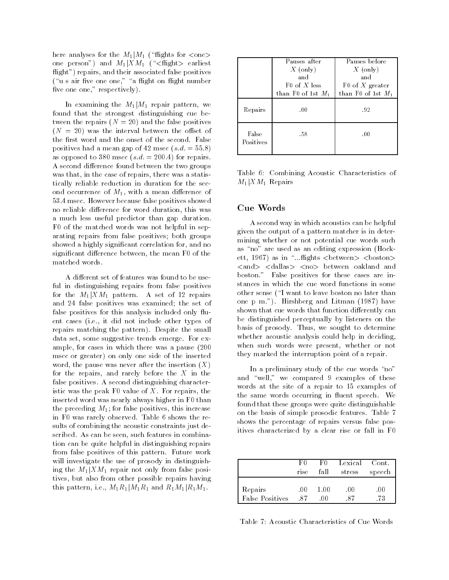here analyses for the  $M_1|M_1$  ("flights for  $\langle$ one $\rangle$ one person") and  $M_1|XM_1$  ("<flight> earliest flight") repairs, and their associated false positives ("u s air five one one," "a flight on flight number five one one," respectively).

In examining the  $M_1|M_1$  repair pattern, we found that the strongest distinguishing cue between the repairs  $(N = 20)$  and the false positives  $(N = 20)$  was the interval between the offset of the first word and the onset of the second. False positives had a mean gap of 42 msec  $(s.d. = 55.8)$ as opposed to 380 msec  $(s.d. = 200.4)$  for repairs. A second difference found between the two groups was that, in the case of repairs, there was a statistically reliable reduction in duration for the second occurrence of  $M_1$ , with a mean difference of 53.4 msec. However because false positives showed no reliable difference for word duration, this was a much less useful predictor than gap duration. F0 of the matched words was not helpful in separating repairs from false positives; both groups showed a highly signicant correlation for, and no significant difference between, the mean F0 of the matched words.

A different set of features was found to be useful in distinguishing repairs from false positives for the  $M_1|XM_1$  pattern. A set of 12 repairs and 24 false positives was examined; the set of false positives for this analysis included only 
uent cases (i.e., it did not include other types of repairs matching the pattern). Despite the small data set, some suggestive trends emerge. For example, for cases in which there was a pause (200 msec or greater) on only one side of the inserted word, the pause was never after the insertion  $(X)$ for the repairs, and rarely before the  $X$  in the false positives. A second distinguishing characteristic was the peak F0 value of  $X$ . For repairs, the inserted word was nearly always higher in F0 than the preceding  $M_1$ ; for false positives, this increase in F0 was rarely observed. Table 6 shows the results of combining the acoustic constraints just described. As can be seen, such features in combination can be quite helpful in distinguishing repairs from false positives of this pattern. Future work will investigate the use of prosody in distinguishing the  $M_1|XM_1$  repair not only from false positives, but also from other possible repairs having this pattern, i.e.,  $M_1R_1|M_1R_1$  and  $R_1M_1|R_1M_1$ .

|                    | Pauses after<br>$X$ (only)<br>and<br>$F0$ of X less | Pauses before<br>$X$ (only)<br>and<br>F0 of X greater |
|--------------------|-----------------------------------------------------|-------------------------------------------------------|
| Repairs            | than F <sub>0</sub> of 1st $M_1$<br>.00             | than F <sub>0</sub> of 1st $M_1$<br>-92               |
| False<br>Positives | .58                                                 | .00                                                   |

Table 6: Combining Acoustic Characteristics of  $M_1$ |X $M_1$  Repairs

# Cue Words

A second way in which acoustics can be helpful given the output of a pattern matcher is in determining whether or not potential cue words such as "no" are used as an editing expression (Hockett, 1967) as in "... flights <br/> <br/>between> <br/> <br/> <br/> <br/> <br/> <br/> <br/> <br/> <br/> <br/> <br/> <br/> <br/> <br/> <br/> <br/> <br/> <br/> <br/> ... flights <br/> <br/> <br/> <br/> <br/> <br/> <br/> <br <and> <dallas> <no> between oakland and boston." False positives for these cases are instances in which the cue word functions in some other sense (\I want to leave boston no later than one p m."). Hirshberg and Litman (1987) have shown that cue words that function differently can be distinguished perceptually by listeners on the basis of prosody. Thus, we sought to determine whether acoustic analysis could help in deciding, when such words were present, whether or not they marked the interruption point of a repair.

In a preliminary study of the cue words "no" and "well," we compared 9 examples of these words at the site of a repair to 15 examples of the same words occurring in fluent speech. We found that these groups were quite distinguishable on the basis of simple prosodic features. Table 7 shows the percentage of repairs versus false positives characterized by a clear rise or fall in F0

|                            | F۵<br>rise | F0<br>fall | Lexical Cont.<br>stress | speech    |
|----------------------------|------------|------------|-------------------------|-----------|
| Repairs<br>False Positives | -00<br>-87 | 1.00       | .00                     | .00<br>73 |

Table 7: Acoustic Characteristics of Cue Words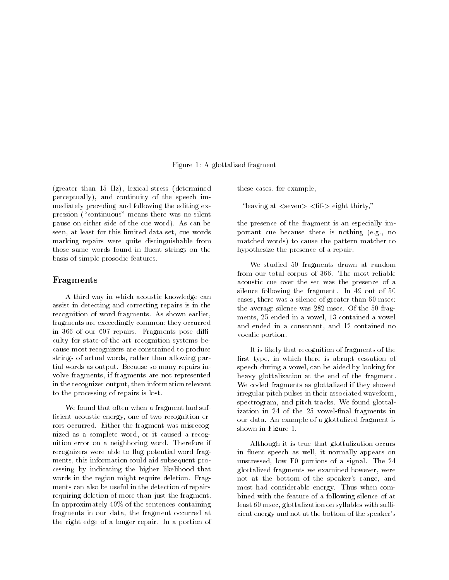#### Figure 1: A glottalized fragment

(greater than 15 Hz), lexical stress (determined perceptually), and continuity of the speech immediately preceding and following the editing expression ("continuous" means there was no silent pause on either side of the cue word). As can be seen, at least for this limited data set, cue words marking repairs were quite distinguishable from those same words found in fluent strings on the basis of simple prosodic features.

#### Fragments

A third way in which acoustic knowledge can assist in detecting and correcting repairs is in the recognition of word fragments. As shown earlier, fragments are exceedingly common; they occurred in 366 of our 607 repairs. Fragments pose difficulty for state-of-the-art recognition systems because most recognizers are constrained to produce strings of actual words, rather than allowing partial words as output. Because so many repairs involve fragments, if fragments are not represented in the recognizer output, then information relevant to the processing of repairs is lost.

We found that often when a fragment had suf ficient acoustic energy, one of two recognition errors occurred. Either the fragment was misrecognized as a complete word, or it caused a recognition error on a neighboring word. Therefore if recognizers were able to flag potential word fragments, this information could aid subsequent processing by indicating the higher likelihood that words in the region might require deletion. Frag ments can also be useful in the detection of repairs requiring deletion of more than just the fragment. In approximately 40% of the sentences containing fragments in our data, the fragment occurred at the right edge of a longer repair. In a portion of these cases, for example,

"leaving at  $\langle$ seven $\rangle$   $\langle$  fif- $\rangle$  eight thirty,"

the presence of the fragment is an especially important cue because there is nothing (e.g., no matched words) to cause the pattern matcher to hypothesize the presence of a repair.

We studied 50 fragments drawn at random from our total corpus of 366. The most reliable acoustic cue over the set was the presence of a silence following the fragment. In 49 out of 50 cases, there was a silence of greater than 60 msec; the average silence was 282 msec. Of the 50 frag ments, 25 ended in a vowel, 13 contained a vowel and ended in a consonant, and 12 contained no vocalic portion.

It is likely that recognition of fragments of the first type, in which there is abrupt cessation of speech during a vowel, can be aided by looking for heavy glottalization at the end of the fragment. We coded fragments as glottalized if they showed irregular pitch pulses in their associated waveform, spectrogram, and pitch tracks. We found glottalization in 24 of the 25 vowel-final fragments in our data. An example of a glottalized fragment is shown in Figure 1.

Although it is true that glottalization occurs in fluent speech as well, it normally appears on unstressed, low F0 portions of a signal. The 24 glottalized fragments we examined however, were not at the bottom of the speaker's range, and most had considerable energy. Thus when combined with the feature of a following silence of at least 60 msec, glottalization on syllables with sufficient energy and not at the bottom of the speaker's